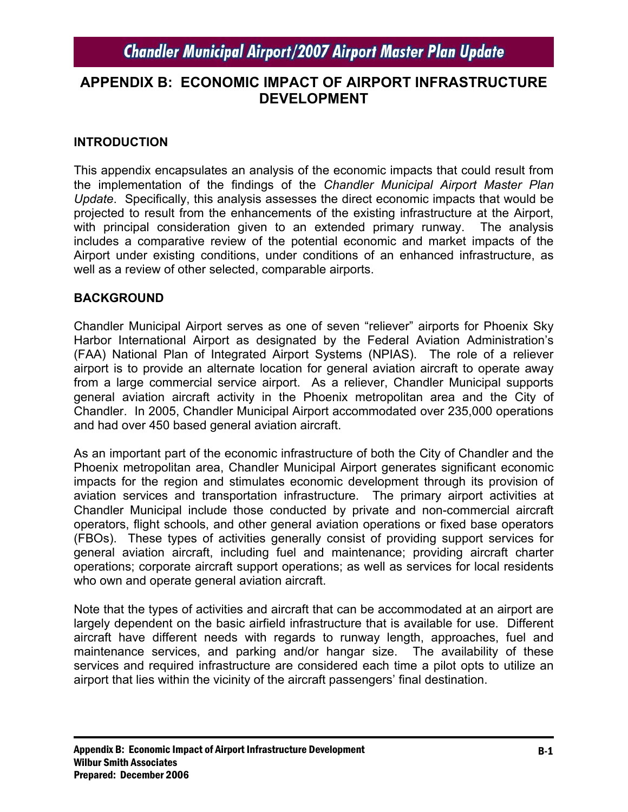## **APPENDIX B: ECONOMIC IMPACT OF AIRPORT INFRASTRUCTURE DEVELOPMENT**

### **INTRODUCTION**

This appendix encapsulates an analysis of the economic impacts that could result from the implementation of the findings of the *Chandler Municipal Airport Master Plan Update*. Specifically, this analysis assesses the direct economic impacts that would be projected to result from the enhancements of the existing infrastructure at the Airport, with principal consideration given to an extended primary runway. The analysis includes a comparative review of the potential economic and market impacts of the Airport under existing conditions, under conditions of an enhanced infrastructure, as well as a review of other selected, comparable airports.

### **BACKGROUND**

Chandler Municipal Airport serves as one of seven "reliever" airports for Phoenix Sky Harbor International Airport as designated by the Federal Aviation Administration's (FAA) National Plan of Integrated Airport Systems (NPIAS). The role of a reliever airport is to provide an alternate location for general aviation aircraft to operate away from a large commercial service airport. As a reliever, Chandler Municipal supports general aviation aircraft activity in the Phoenix metropolitan area and the City of Chandler. In 2005, Chandler Municipal Airport accommodated over 235,000 operations and had over 450 based general aviation aircraft.

As an important part of the economic infrastructure of both the City of Chandler and the Phoenix metropolitan area, Chandler Municipal Airport generates significant economic impacts for the region and stimulates economic development through its provision of aviation services and transportation infrastructure. The primary airport activities at Chandler Municipal include those conducted by private and non-commercial aircraft operators, flight schools, and other general aviation operations or fixed base operators (FBOs). These types of activities generally consist of providing support services for general aviation aircraft, including fuel and maintenance; providing aircraft charter operations; corporate aircraft support operations; as well as services for local residents who own and operate general aviation aircraft.

Note that the types of activities and aircraft that can be accommodated at an airport are largely dependent on the basic airfield infrastructure that is available for use. Different aircraft have different needs with regards to runway length, approaches, fuel and maintenance services, and parking and/or hangar size. The availability of these services and required infrastructure are considered each time a pilot opts to utilize an airport that lies within the vicinity of the aircraft passengers' final destination.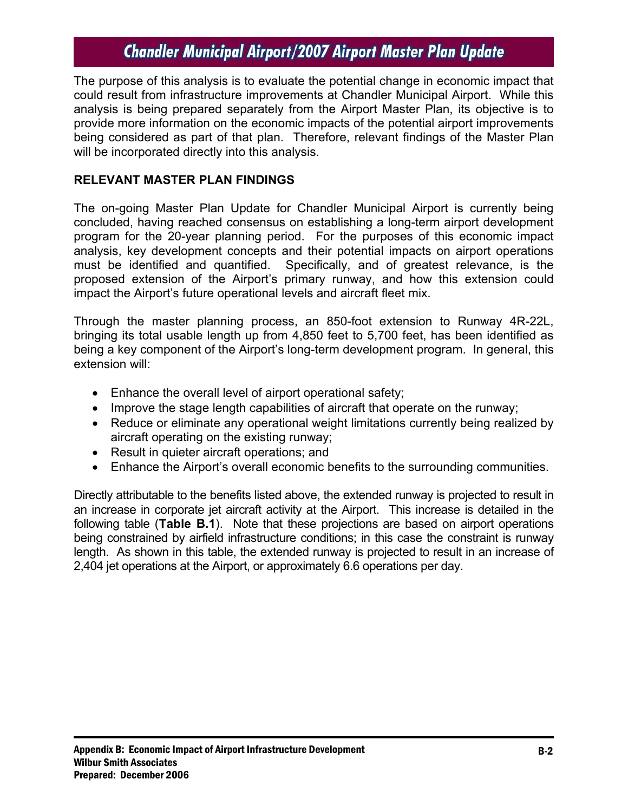The purpose of this analysis is to evaluate the potential change in economic impact that could result from infrastructure improvements at Chandler Municipal Airport. While this analysis is being prepared separately from the Airport Master Plan, its objective is to provide more information on the economic impacts of the potential airport improvements being considered as part of that plan. Therefore, relevant findings of the Master Plan will be incorporated directly into this analysis.

### **RELEVANT MASTER PLAN FINDINGS**

The on-going Master Plan Update for Chandler Municipal Airport is currently being concluded, having reached consensus on establishing a long-term airport development program for the 20-year planning period. For the purposes of this economic impact analysis, key development concepts and their potential impacts on airport operations must be identified and quantified. Specifically, and of greatest relevance, is the proposed extension of the Airport's primary runway, and how this extension could impact the Airport's future operational levels and aircraft fleet mix.

Through the master planning process, an 850-foot extension to Runway 4R-22L, bringing its total usable length up from 4,850 feet to 5,700 feet, has been identified as being a key component of the Airport's long-term development program. In general, this extension will:

- Enhance the overall level of airport operational safety;
- Improve the stage length capabilities of aircraft that operate on the runway;
- Reduce or eliminate any operational weight limitations currently being realized by aircraft operating on the existing runway;
- Result in quieter aircraft operations; and
- Enhance the Airport's overall economic benefits to the surrounding communities.

Directly attributable to the benefits listed above, the extended runway is projected to result in an increase in corporate jet aircraft activity at the Airport. This increase is detailed in the following table (**Table B.1**). Note that these projections are based on airport operations being constrained by airfield infrastructure conditions; in this case the constraint is runway length. As shown in this table, the extended runway is projected to result in an increase of 2,404 jet operations at the Airport, or approximately 6.6 operations per day.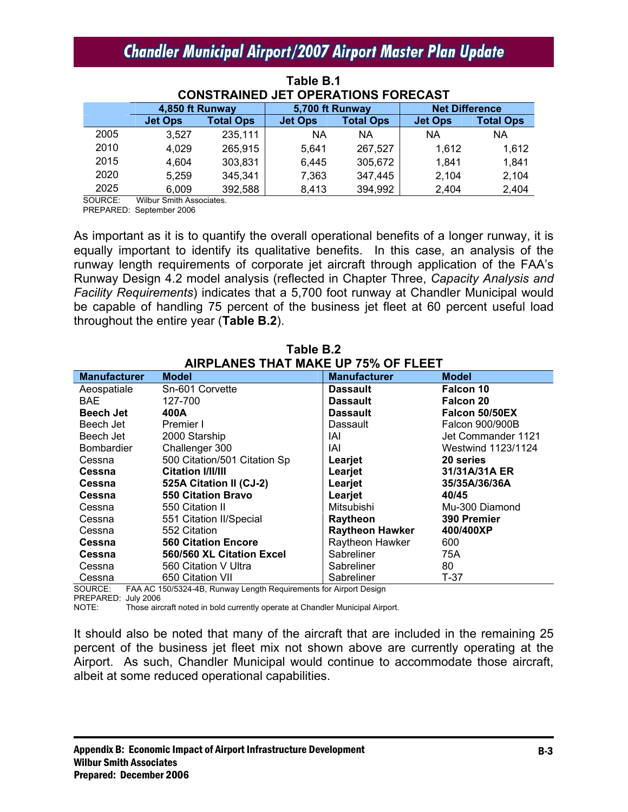| <b>CONSTRAINED JET OPERATIONS FORECAST</b> |                 |                  |                 |                  |                       |                  |
|--------------------------------------------|-----------------|------------------|-----------------|------------------|-----------------------|------------------|
|                                            | 4,850 ft Runway |                  | 5,700 ft Runway |                  | <b>Net Difference</b> |                  |
|                                            | <b>Jet Ops</b>  | <b>Total Ops</b> | <b>Jet Ops</b>  | <b>Total Ops</b> | <b>Jet Ops</b>        | <b>Total Ops</b> |
| 2005                                       | 3,527           | 235,111          | <b>NA</b>       | <b>NA</b>        | <b>NA</b>             | <b>NA</b>        |
| 2010                                       | 4,029           | 265,915          | 5.641           | 267,527          | 1,612                 | 1,612            |
| 2015                                       | 4,604           | 303,831          | 6,445           | 305,672          | 1,841                 | 1,841            |
| 2020                                       | 5,259           | 345,341          | 7,363           | 347,445          | 2,104                 | 2,104            |
| 2025                                       | 6,009           | 392,588          | 8,413           | 394,992          | 2,404                 | 2,404            |

**Table B.1** 

SOURCE: Wilbur Smith Associates.

PREPARED: September 2006

As important as it is to quantify the overall operational benefits of a longer runway, it is equally important to identify its qualitative benefits. In this case, an analysis of the runway length requirements of corporate jet aircraft through application of the FAA's Runway Design 4.2 model analysis (reflected in Chapter Three, *Capacity Analysis and Facility Requirements*) indicates that a 5,700 foot runway at Chandler Municipal would be capable of handling 75 percent of the business jet fleet at 60 percent useful load throughout the entire year (**Table B.2**).

**Table B.2** 

| AIRPLANES THAT MAKE UP 75% OF FLEET |                              |                        |                    |  |  |
|-------------------------------------|------------------------------|------------------------|--------------------|--|--|
| <b>Manufacturer</b>                 | <b>Model</b>                 | <b>Manufacturer</b>    | <b>Model</b>       |  |  |
| Aeospatiale                         | Sn-601 Corvette              | <b>Dassault</b>        | Falcon 10          |  |  |
| BAE.                                | 127-700                      | <b>Dassault</b>        | Falcon 20          |  |  |
| <b>Beech Jet</b>                    | 400A                         | <b>Dassault</b>        | Falcon 50/50EX     |  |  |
| Beech Jet                           | Premier I                    | Dassault               | Falcon 900/900B    |  |  |
| Beech Jet                           | 2000 Starship                | IAI                    | Jet Commander 1121 |  |  |
| <b>Bombardier</b>                   | Challenger 300               | IAI                    | Westwind 1123/1124 |  |  |
| Cessna                              | 500 Citation/501 Citation Sp | Learjet                | 20 series          |  |  |
| Cessna                              | <b>Citation I/II/III</b>     | Learjet                | 31/31A/31A ER      |  |  |
| Cessna                              | 525A Citation II (CJ-2)      | Learjet                | 35/35A/36/36A      |  |  |
| Cessna                              | <b>550 Citation Bravo</b>    | Learjet                | 40/45              |  |  |
| Cessna                              | 550 Citation II              | Mitsubishi             | Mu-300 Diamond     |  |  |
| Cessna                              | 551 Citation II/Special      | Raytheon               | 390 Premier        |  |  |
| Cessna                              | 552 Citation                 | <b>Raytheon Hawker</b> | 400/400XP          |  |  |
| Cessna                              | <b>560 Citation Encore</b>   | Raytheon Hawker        | 600                |  |  |
| Cessna                              | 560/560 XL Citation Excel    | Sabreliner             | 75A                |  |  |
| Cessna                              | 560 Citation V Ultra         | Sabreliner             | 80                 |  |  |
| Cessna                              | 650 Citation VII             | Sabreliner             | T-37               |  |  |

SOURCE: FAA AC 150/5324-4B, Runway Length Requirements for Airport Design

PREPARED: July 2006

NOTE: Those aircraft noted in bold currently operate at Chandler Municipal Airport.

It should also be noted that many of the aircraft that are included in the remaining 25 percent of the business jet fleet mix not shown above are currently operating at the Airport. As such, Chandler Municipal would continue to accommodate those aircraft, albeit at some reduced operational capabilities.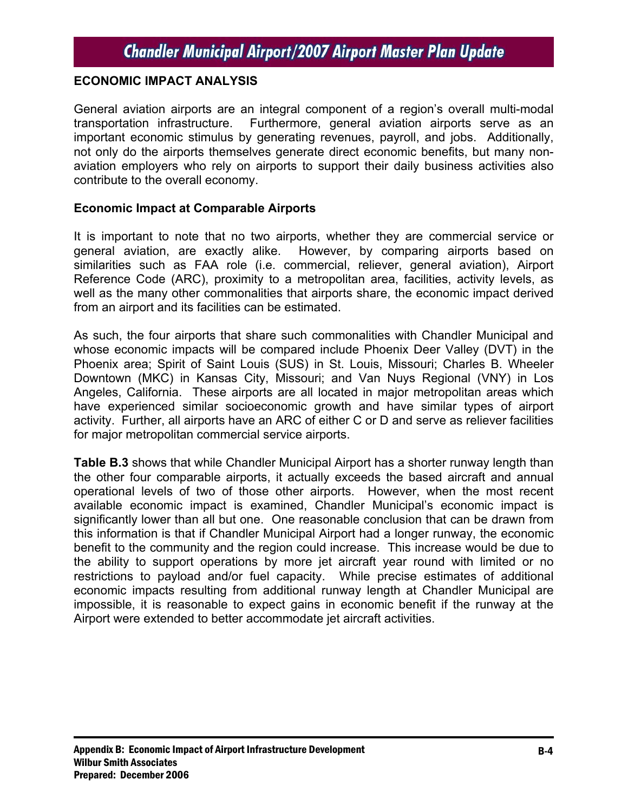#### **ECONOMIC IMPACT ANALYSIS**

General aviation airports are an integral component of a region's overall multi-modal transportation infrastructure. Furthermore, general aviation airports serve as an important economic stimulus by generating revenues, payroll, and jobs. Additionally, not only do the airports themselves generate direct economic benefits, but many nonaviation employers who rely on airports to support their daily business activities also contribute to the overall economy.

#### **Economic Impact at Comparable Airports**

It is important to note that no two airports, whether they are commercial service or general aviation, are exactly alike. However, by comparing airports based on similarities such as FAA role (i.e. commercial, reliever, general aviation), Airport Reference Code (ARC), proximity to a metropolitan area, facilities, activity levels, as well as the many other commonalities that airports share, the economic impact derived from an airport and its facilities can be estimated.

As such, the four airports that share such commonalities with Chandler Municipal and whose economic impacts will be compared include Phoenix Deer Valley (DVT) in the Phoenix area; Spirit of Saint Louis (SUS) in St. Louis, Missouri; Charles B. Wheeler Downtown (MKC) in Kansas City, Missouri; and Van Nuys Regional (VNY) in Los Angeles, California. These airports are all located in major metropolitan areas which have experienced similar socioeconomic growth and have similar types of airport activity. Further, all airports have an ARC of either C or D and serve as reliever facilities for major metropolitan commercial service airports.

**Table B.3** shows that while Chandler Municipal Airport has a shorter runway length than the other four comparable airports, it actually exceeds the based aircraft and annual operational levels of two of those other airports. However, when the most recent available economic impact is examined, Chandler Municipal's economic impact is significantly lower than all but one. One reasonable conclusion that can be drawn from this information is that if Chandler Municipal Airport had a longer runway, the economic benefit to the community and the region could increase. This increase would be due to the ability to support operations by more jet aircraft year round with limited or no restrictions to payload and/or fuel capacity. While precise estimates of additional economic impacts resulting from additional runway length at Chandler Municipal are impossible, it is reasonable to expect gains in economic benefit if the runway at the Airport were extended to better accommodate jet aircraft activities.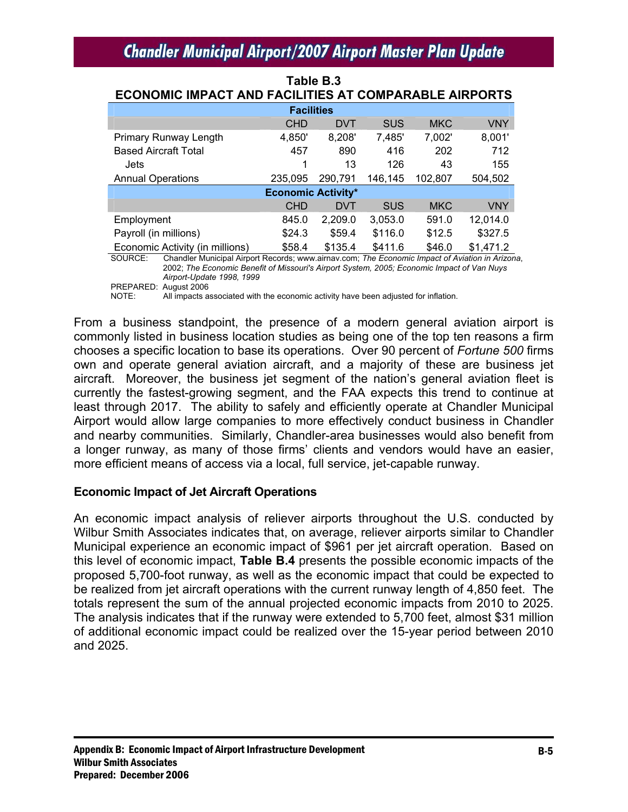| LOONOMIO IMFAOT AND FAOILITILO AT COMFANADLE AINFONTO |            |            |            |            |            |  |
|-------------------------------------------------------|------------|------------|------------|------------|------------|--|
| <b>Facilities</b>                                     |            |            |            |            |            |  |
|                                                       | <b>CHD</b> | <b>DVT</b> | <b>SUS</b> | <b>MKC</b> | <b>VNY</b> |  |
| <b>Primary Runway Length</b>                          | 4,850'     | 8,208'     | 7,485'     | 7,002'     | 8,001'     |  |
| <b>Based Aircraft Total</b>                           | 457        | 890        | 416        | 202        | 712        |  |
| Jets                                                  | 1          | 13         | 126        | 43         | 155        |  |
| <b>Annual Operations</b>                              | 235.095    | 290.791    | 146,145    | 102.807    | 504,502    |  |
| <b>Economic Activity*</b>                             |            |            |            |            |            |  |
|                                                       | <b>CHD</b> | <b>DVT</b> | <b>SUS</b> | <b>MKC</b> | <b>VNY</b> |  |
| Employment                                            | 845.0      | 2,209.0    | 3,053.0    | 591.0      | 12,014.0   |  |
| Payroll (in millions)                                 | \$24.3     | \$59.4     | \$116.0    | \$12.5     | \$327.5    |  |
| Economic Activity (in millions)                       | \$58.4     | \$135.4    | \$411.6    | \$46.0     | \$1,471.2  |  |

#### **Table B.3 ECONOMIC IMPACT AND FACILITIES AT COMPARABLE AIRPORTS**

SOURCE: Chandler Municipal Airport Records; www.airnav.com; *The Economic Impact of Aviation in Arizona*, 2002; *The Economic Benefit of Missouri's Airport System, 2005; Economic Impact of Van Nuys Airport-Update 1998, 1999* 

PREPARED: August 2006

NOTE: All impacts associated with the economic activity have been adjusted for inflation.

From a business standpoint, the presence of a modern general aviation airport is commonly listed in business location studies as being one of the top ten reasons a firm chooses a specific location to base its operations. Over 90 percent of *Fortune 500* firms own and operate general aviation aircraft, and a majority of these are business jet aircraft. Moreover, the business jet segment of the nation's general aviation fleet is currently the fastest-growing segment, and the FAA expects this trend to continue at least through 2017. The ability to safely and efficiently operate at Chandler Municipal Airport would allow large companies to more effectively conduct business in Chandler and nearby communities. Similarly, Chandler-area businesses would also benefit from a longer runway, as many of those firms' clients and vendors would have an easier, more efficient means of access via a local, full service, jet-capable runway.

#### **Economic Impact of Jet Aircraft Operations**

An economic impact analysis of reliever airports throughout the U.S. conducted by Wilbur Smith Associates indicates that, on average, reliever airports similar to Chandler Municipal experience an economic impact of \$961 per jet aircraft operation. Based on this level of economic impact, **Table B.4** presents the possible economic impacts of the proposed 5,700-foot runway, as well as the economic impact that could be expected to be realized from jet aircraft operations with the current runway length of 4,850 feet. The totals represent the sum of the annual projected economic impacts from 2010 to 2025. The analysis indicates that if the runway were extended to 5,700 feet, almost \$31 million of additional economic impact could be realized over the 15-year period between 2010 and 2025.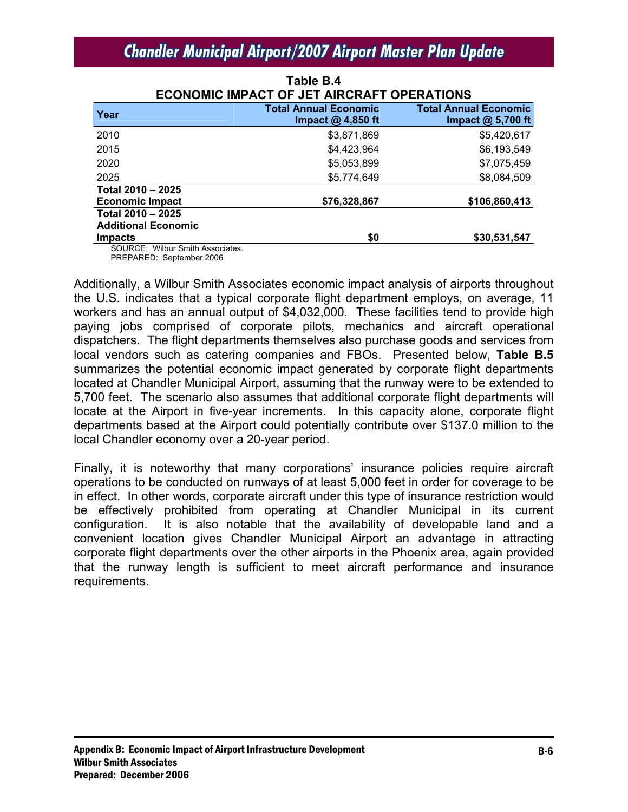| <b>ECONOMIC IMPACT OF JET AIRCRAFT OPERATIONS</b> |                              |                              |  |  |
|---------------------------------------------------|------------------------------|------------------------------|--|--|
| Year                                              | <b>Total Annual Economic</b> | <b>Total Annual Economic</b> |  |  |
|                                                   | Impact $@$ 4,850 ft          | Impact $@$ 5,700 ft          |  |  |
| 2010                                              | \$3,871,869                  | \$5,420,617                  |  |  |
| 2015                                              | \$4,423,964                  | \$6,193,549                  |  |  |
| 2020                                              | \$5,053,899                  | \$7,075,459                  |  |  |
| 2025                                              | \$5,774,649                  | \$8,084,509                  |  |  |
| Total 2010 - 2025                                 |                              |                              |  |  |
| <b>Economic Impact</b>                            | \$76,328,867                 | \$106,860,413                |  |  |
| Total 2010 - 2025                                 |                              |                              |  |  |
| <b>Additional Economic</b>                        |                              |                              |  |  |
| <b>Impacts</b>                                    | \$0                          | \$30,531,547                 |  |  |
| SOURCE: Wilbur Smith Associates.                  |                              |                              |  |  |

| Table B.4                                         |
|---------------------------------------------------|
| <b>ECONOMIC IMPACT OF JET AIRCRAFT OPERATIONS</b> |

PREPARED: September 2006

Additionally, a Wilbur Smith Associates economic impact analysis of airports throughout the U.S. indicates that a typical corporate flight department employs, on average, 11 workers and has an annual output of \$4,032,000. These facilities tend to provide high paying jobs comprised of corporate pilots, mechanics and aircraft operational dispatchers. The flight departments themselves also purchase goods and services from local vendors such as catering companies and FBOs. Presented below, **Table B.5** summarizes the potential economic impact generated by corporate flight departments located at Chandler Municipal Airport, assuming that the runway were to be extended to 5,700 feet. The scenario also assumes that additional corporate flight departments will locate at the Airport in five-year increments. In this capacity alone, corporate flight departments based at the Airport could potentially contribute over \$137.0 million to the local Chandler economy over a 20-year period.

Finally, it is noteworthy that many corporations' insurance policies require aircraft operations to be conducted on runways of at least 5,000 feet in order for coverage to be in effect. In other words, corporate aircraft under this type of insurance restriction would be effectively prohibited from operating at Chandler Municipal in its current configuration. It is also notable that the availability of developable land and a convenient location gives Chandler Municipal Airport an advantage in attracting corporate flight departments over the other airports in the Phoenix area, again provided that the runway length is sufficient to meet aircraft performance and insurance requirements.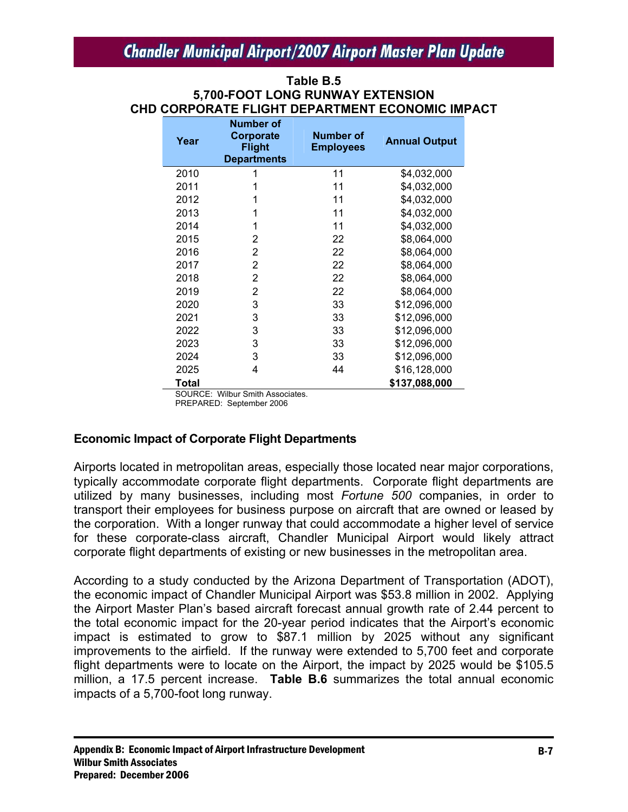#### **Table B.5 5,700-FOOT LONG RUNWAY EXTENSION CHD CORPORATE FLIGHT DEPARTMENT ECONOMIC IMPACT**

| Year  | <b>Number of</b><br>Corporate<br><b>Flight</b><br><b>Departments</b> | <b>Number of</b><br><b>Employees</b> | <b>Annual Output</b> |
|-------|----------------------------------------------------------------------|--------------------------------------|----------------------|
| 2010  | 1                                                                    | 11                                   | \$4,032,000          |
| 2011  | 1                                                                    | 11                                   | \$4,032,000          |
| 2012  | 1                                                                    | 11                                   | \$4,032,000          |
| 2013  | 1                                                                    | 11                                   | \$4,032,000          |
| 2014  | 1                                                                    | 11                                   | \$4,032,000          |
| 2015  | 2                                                                    | 22                                   | \$8,064,000          |
| 2016  | 2                                                                    | 22                                   | \$8,064,000          |
| 2017  | 2                                                                    | 22                                   | \$8,064,000          |
| 2018  | 2                                                                    | 22                                   | \$8,064,000          |
| 2019  | 2                                                                    | 22                                   | \$8,064,000          |
| 2020  | 3                                                                    | 33                                   | \$12,096,000         |
| 2021  | 3                                                                    | 33                                   | \$12,096,000         |
| 2022  | 3                                                                    | 33                                   | \$12,096,000         |
| 2023  | 3                                                                    | 33                                   | \$12,096,000         |
| 2024  | 3                                                                    | 33                                   | \$12,096,000         |
| 2025  | 4                                                                    | 44                                   | \$16,128,000         |
| Total |                                                                      |                                      | \$137,088,000        |

SOURCE: Wilbur Smith Associates.

PREPARED: September 2006

### **Economic Impact of Corporate Flight Departments**

Airports located in metropolitan areas, especially those located near major corporations, typically accommodate corporate flight departments. Corporate flight departments are utilized by many businesses, including most *Fortune 500* companies, in order to transport their employees for business purpose on aircraft that are owned or leased by the corporation. With a longer runway that could accommodate a higher level of service for these corporate-class aircraft, Chandler Municipal Airport would likely attract corporate flight departments of existing or new businesses in the metropolitan area.

According to a study conducted by the Arizona Department of Transportation (ADOT), the economic impact of Chandler Municipal Airport was \$53.8 million in 2002. Applying the Airport Master Plan's based aircraft forecast annual growth rate of 2.44 percent to the total economic impact for the 20-year period indicates that the Airport's economic impact is estimated to grow to \$87.1 million by 2025 without any significant improvements to the airfield. If the runway were extended to 5,700 feet and corporate flight departments were to locate on the Airport, the impact by 2025 would be \$105.5 million, a 17.5 percent increase. **Table B.6** summarizes the total annual economic impacts of a 5,700-foot long runway.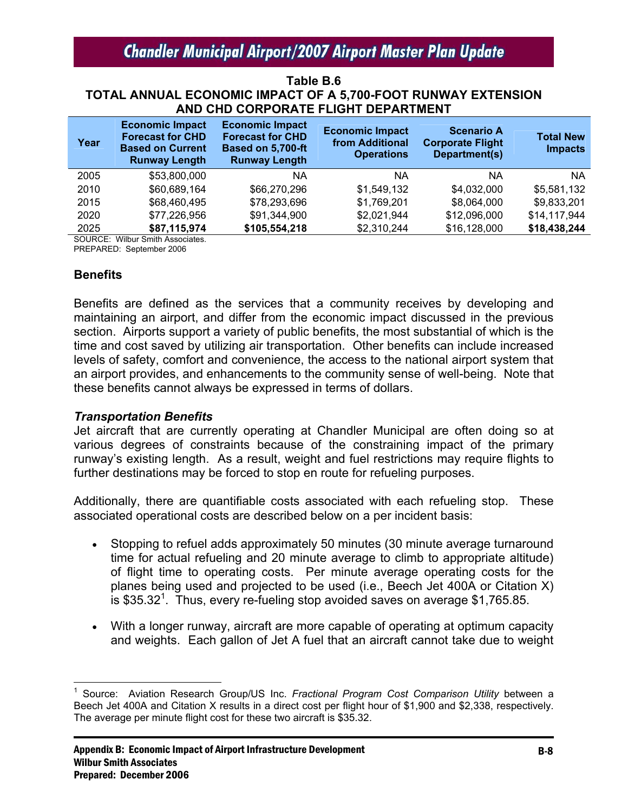#### **Table B.6 TOTAL ANNUAL ECONOMIC IMPACT OF A 5,700-FOOT RUNWAY EXTENSION AND CHD CORPORATE FLIGHT DEPARTMENT**

| Year | <b>Economic Impact</b><br><b>Forecast for CHD</b><br><b>Based on Current</b><br><b>Runway Length</b> | <b>Economic Impact</b><br><b>Forecast for CHD</b><br>Based on 5,700-ft<br><b>Runway Length</b> | <b>Economic Impact</b><br>from Additional<br><b>Operations</b> | <b>Scenario A</b><br><b>Corporate Flight</b><br>Department(s) | <b>Total New</b><br><b>Impacts</b> |
|------|------------------------------------------------------------------------------------------------------|------------------------------------------------------------------------------------------------|----------------------------------------------------------------|---------------------------------------------------------------|------------------------------------|
| 2005 | \$53,800,000                                                                                         | ΝA                                                                                             | ΝA                                                             | ΝA                                                            | <b>NA</b>                          |
| 2010 | \$60,689,164                                                                                         | \$66,270,296                                                                                   | \$1,549,132                                                    | \$4,032,000                                                   | \$5,581,132                        |
| 2015 | \$68,460,495                                                                                         | \$78,293,696                                                                                   | \$1,769,201                                                    | \$8,064,000                                                   | \$9,833,201                        |
| 2020 | \$77,226,956                                                                                         | \$91,344,900                                                                                   | \$2,021,944                                                    | \$12,096,000                                                  | \$14,117,944                       |
| 2025 | \$87,115,974                                                                                         | \$105,554,218                                                                                  | \$2,310,244                                                    | \$16,128,000                                                  | \$18,438,244                       |

SOURCE: Wilbur Smith Associates. PREPARED: September 2006

#### **Benefits**

Benefits are defined as the services that a community receives by developing and maintaining an airport, and differ from the economic impact discussed in the previous section. Airports support a variety of public benefits, the most substantial of which is the time and cost saved by utilizing air transportation. Other benefits can include increased levels of safety, comfort and convenience, the access to the national airport system that an airport provides, and enhancements to the community sense of well-being. Note that these benefits cannot always be expressed in terms of dollars.

#### *Transportation Benefits*

Jet aircraft that are currently operating at Chandler Municipal are often doing so at various degrees of constraints because of the constraining impact of the primary runway's existing length. As a result, weight and fuel restrictions may require flights to further destinations may be forced to stop en route for refueling purposes.

Additionally, there are quantifiable costs associated with each refueling stop. These associated operational costs are described below on a per incident basis:

- Stopping to refuel adds approximately 50 minutes (30 minute average turnaround time for actual refueling and 20 minute average to climb to appropriate altitude) of flight time to operating costs. Per minute average operating costs for the planes being used and projected to be used (i.e., Beech Jet 400A or Citation X)  $\overline{\phantom{1}}$  is \$35.32<sup>1</sup>. Thus, every re-fueling stop avoided saves on average \$1,765.85.
- With a longer runway, aircraft are more capable of operating at optimum capacity and weights. Each gallon of Jet A fuel that an aircraft cannot take due to weight

 $\overline{a}$ 1 Source: Aviation Research Group/US Inc. *Fractional Program Cost Comparison Utility* between a Beech Jet 400A and Citation X results in a direct cost per flight hour of \$1,900 and \$2,338, respectively. The average per minute flight cost for these two aircraft is \$35.32.